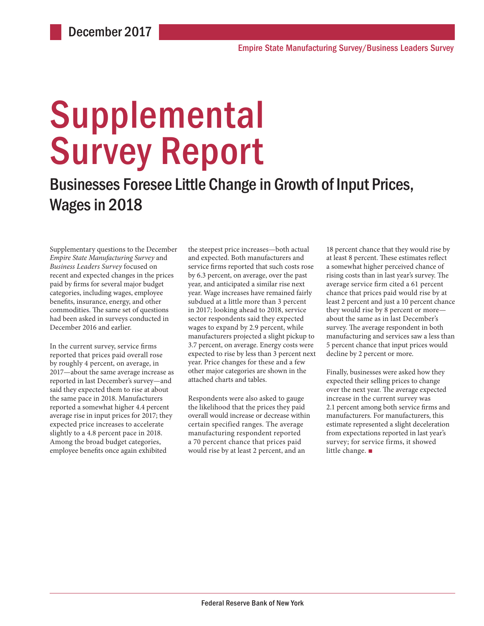# **Supplemental** Survey Report

# Businesses Foresee Little Change in Growth of Input Prices, Wages in 2018

Supplementary questions to the December *Empire State Manufacturing Survey* and *Business Leaders Survey* focused on recent and expected changes in the prices paid by firms for several major budget categories, including wages, employee benefits, insurance, energy, and other commodities. The same set of questions had been asked in surveys conducted in December 2016 and earlier.

In the current survey, service firms reported that prices paid overall rose by roughly 4 percent, on average, in 2017—about the same average increase as reported in last December's survey—and said they expected them to rise at about the same pace in 2018. Manufacturers reported a somewhat higher 4.4 percent average rise in input prices for 2017; they expected price increases to accelerate slightly to a 4.8 percent pace in 2018. Among the broad budget categories, employee benefits once again exhibited

the steepest price increases—both actual and expected. Both manufacturers and service firms reported that such costs rose by 6.3 percent, on average, over the past year, and anticipated a similar rise next year. Wage increases have remained fairly subdued at a little more than 3 percent in 2017; looking ahead to 2018, service sector respondents said they expected wages to expand by 2.9 percent, while manufacturers projected a slight pickup to 3.7 percent, on average. Energy costs were expected to rise by less than 3 percent next year. Price changes for these and a few other major categories are shown in the attached charts and tables.

Respondents were also asked to gauge the likelihood that the prices they paid overall would increase or decrease within certain specified ranges. The average manufacturing respondent reported a 70 percent chance that prices paid would rise by at least 2 percent, and an

18 percent chance that they would rise by at least 8 percent. These estimates reflect a somewhat higher perceived chance of rising costs than in last year's survey. The average service firm cited a 61 percent chance that prices paid would rise by at least 2 percent and just a 10 percent chance they would rise by 8 percent or more about the same as in last December's survey. The average respondent in both manufacturing and services saw a less than 5 percent chance that input prices would decline by 2 percent or more.

Finally, businesses were asked how they expected their selling prices to change over the next year. The average expected increase in the current survey was 2.1 percent among both service firms and manufacturers. For manufacturers, this estimate represented a slight deceleration from expectations reported in last year's survey; for service firms, it showed little change. ■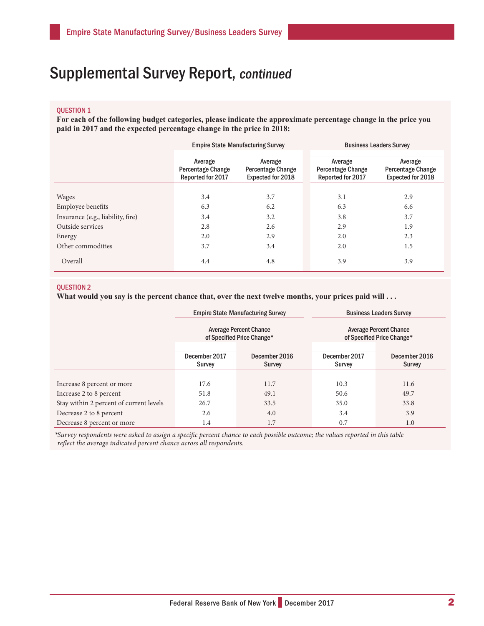## Supplemental Survey Report, continued

## QUESTION 1

**For each of the following budget categories, please indicate the approximate percentage change in the price you paid in 2017 and the expected percentage change in the price in 2018:**

|                                   | <b>Empire State Manufacturing Survey</b>                 |                                                                 | <b>Business Leaders Survey</b>                           |                                                                 |  |
|-----------------------------------|----------------------------------------------------------|-----------------------------------------------------------------|----------------------------------------------------------|-----------------------------------------------------------------|--|
|                                   | Average<br><b>Percentage Change</b><br>Reported for 2017 | Average<br><b>Percentage Change</b><br><b>Expected for 2018</b> | Average<br><b>Percentage Change</b><br>Reported for 2017 | Average<br><b>Percentage Change</b><br><b>Expected for 2018</b> |  |
|                                   |                                                          |                                                                 |                                                          |                                                                 |  |
| <b>Wages</b>                      | 3.4                                                      | 3.7                                                             | 3.1                                                      | 2.9                                                             |  |
| Employee benefits                 | 6.3                                                      | 6.2                                                             | 6.3                                                      | 6.6                                                             |  |
| Insurance (e.g., liability, fire) | 3.4                                                      | 3.2                                                             | 3.8                                                      | 3.7                                                             |  |
| Outside services                  | 2.8                                                      | 2.6                                                             | 2.9                                                      | 1.9                                                             |  |
| Energy                            | 2.0                                                      | 2.9                                                             | 2.0                                                      | 2.3                                                             |  |
| Other commodities                 | 3.7                                                      | 3.4                                                             | 2.0                                                      | 1.5                                                             |  |
| Overall                           | 4.4                                                      | 4.8                                                             | 3.9                                                      | 3.9                                                             |  |

## QUESTION 2

What would you say is the percent chance that, over the next twelve months, your prices paid will . . .

|                                         |                                                             | <b>Empire State Manufacturing Survey</b> | <b>Business Leaders Survey</b>                              |                                |  |
|-----------------------------------------|-------------------------------------------------------------|------------------------------------------|-------------------------------------------------------------|--------------------------------|--|
|                                         | <b>Average Percent Chance</b><br>of Specified Price Change* |                                          | <b>Average Percent Chance</b><br>of Specified Price Change* |                                |  |
|                                         | December 2017<br>Survey                                     | December 2016<br><b>Survey</b>           | December 2017<br>Survey                                     | December 2016<br><b>Survey</b> |  |
|                                         |                                                             |                                          |                                                             |                                |  |
| Increase 8 percent or more              | 17.6                                                        | 11.7                                     | 10.3                                                        | 11.6                           |  |
| Increase 2 to 8 percent                 | 51.8                                                        | 49.1                                     | 50.6                                                        | 49.7                           |  |
| Stay within 2 percent of current levels | 26.7                                                        | 33.5                                     | 35.0                                                        | 33.8                           |  |
| Decrease 2 to 8 percent                 | 2.6                                                         | 4.0                                      | 3.4                                                         | 3.9                            |  |
| Decrease 8 percent or more              | 1.4                                                         | 1.7                                      | 0.7                                                         | 1.0                            |  |

*\*Survey respondents were asked to assign a specific percent chance to each possible outcome; the values reported in this table reflect the average indicated percent chance across all respondents.*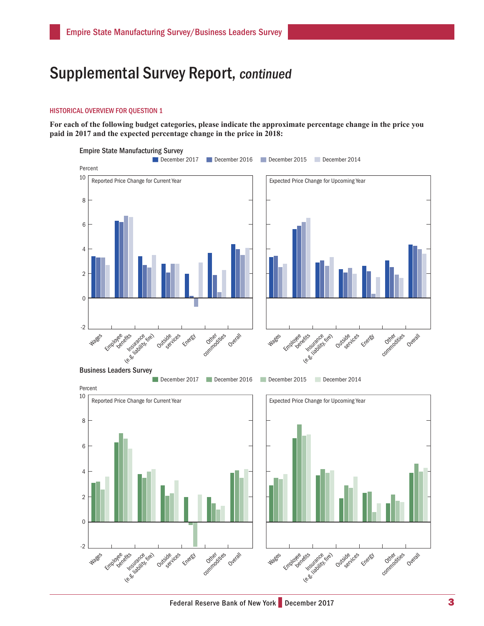## Supplemental Survey Report, continued

#### HISTORICAL OVERVIEW FOR QUESTION 1

**For each of the following budget categories, please indicate the approximate percentage change in the price you paid in 2017 and the expected percentage change in the price in 2018:**